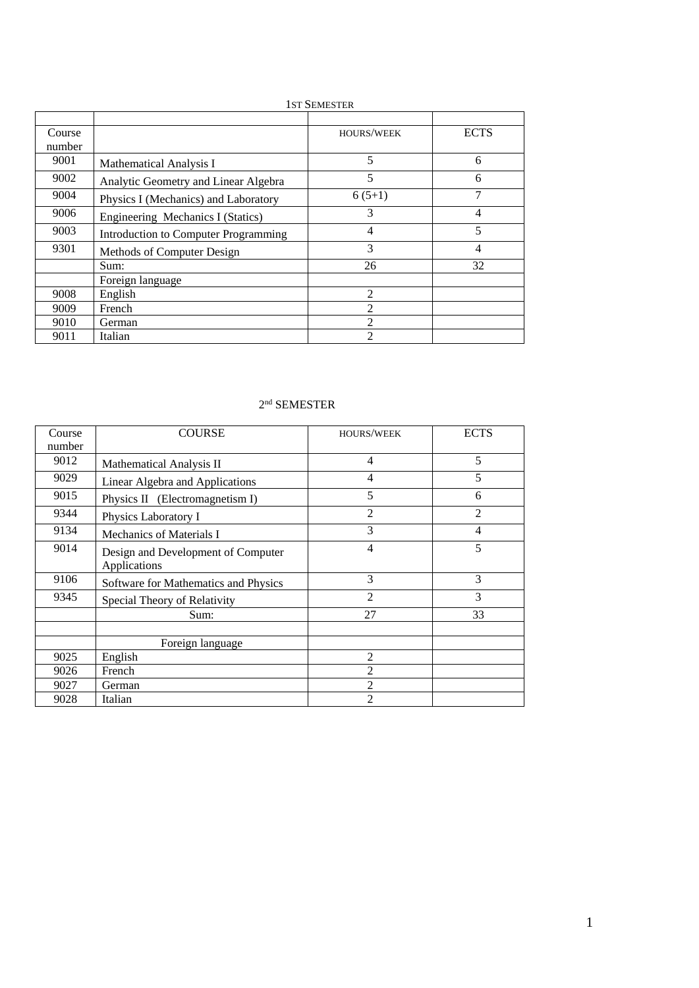# 1ST SEMESTER

| Course |                                      | <b>HOURS/WEEK</b> | <b>ECTS</b>    |
|--------|--------------------------------------|-------------------|----------------|
| number |                                      |                   |                |
| 9001   | <b>Mathematical Analysis I</b>       | 5                 | 6              |
| 9002   | Analytic Geometry and Linear Algebra | 5                 | 6              |
| 9004   | Physics I (Mechanics) and Laboratory | $6(5+1)$          | 7              |
| 9006   | Engineering Mechanics I (Statics)    | 3                 | 4              |
| 9003   | Introduction to Computer Programming | 4                 | 5              |
| 9301   | Methods of Computer Design           | 3                 | $\overline{4}$ |
|        | Sum:                                 | 26                | 32             |
|        | Foreign language                     |                   |                |
| 9008   | English                              | $\mathfrak{D}$    |                |
| 9009   | French                               | $\mathfrak{D}$    |                |
| 9010   | German                               | $\mathfrak{D}$    |                |
| 9011   | Italian                              | っ                 |                |

# nd SEMESTER

| Course | <b>COURSE</b>                                      | <b>HOURS/WEEK</b> | <b>ECTS</b>    |
|--------|----------------------------------------------------|-------------------|----------------|
| number |                                                    |                   |                |
| 9012   | Mathematical Analysis II                           | $\overline{4}$    | 5              |
| 9029   | Linear Algebra and Applications                    | 4                 | 5              |
| 9015   | Physics II (Electromagnetism I)                    | 5                 | 6              |
| 9344   | Physics Laboratory I                               | $\mathfrak{D}$    | $\overline{2}$ |
| 9134   | Mechanics of Materials I                           | 3                 | 4              |
| 9014   | Design and Development of Computer<br>Applications | 4                 | 5              |
| 9106   | Software for Mathematics and Physics               | 3                 | 3              |
| 9345   | Special Theory of Relativity                       | $\overline{c}$    | 3              |
|        | Sum:                                               | 27                | 33             |
|        |                                                    |                   |                |
|        | Foreign language                                   |                   |                |
| 9025   | English                                            | $\overline{2}$    |                |
| 9026   | French                                             | $\overline{c}$    |                |
| 9027   | German                                             | $\mathfrak{D}$    |                |
| 9028   | Italian                                            | $\mathfrak{D}$    |                |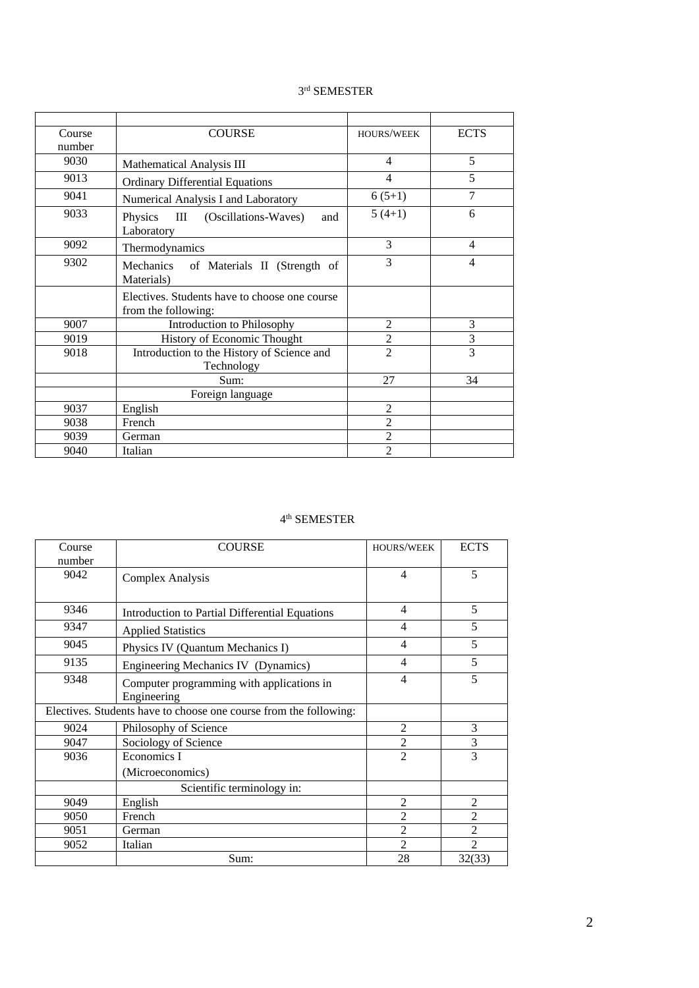#### rd SEMESTER

| Course | <b>COURSE</b>                                                        | <b>HOURS/WEEK</b> | <b>ECTS</b>    |
|--------|----------------------------------------------------------------------|-------------------|----------------|
| number |                                                                      |                   |                |
| 9030   | Mathematical Analysis III                                            | 4                 | 5              |
| 9013   | <b>Ordinary Differential Equations</b>                               | $\overline{4}$    | 5              |
| 9041   | Numerical Analysis I and Laboratory                                  | $6(5+1)$          | 7              |
| 9033   | Physics<br>III (Oscillations-Waves)<br>and<br>Laboratory             | $5(4+1)$          | 6              |
| 9092   | Thermodynamics                                                       | 3                 | $\overline{4}$ |
| 9302   | Mechanics of Materials II (Strength of<br>Materials)                 | 3                 | 4              |
|        | Electives. Students have to choose one course<br>from the following: |                   |                |
| 9007   | Introduction to Philosophy                                           | $\overline{2}$    | 3              |
| 9019   | History of Economic Thought                                          | $\overline{2}$    | 3              |
| 9018   | Introduction to the History of Science and<br>Technology             | $\mathfrak{D}$    | 3              |
|        | Sum:                                                                 | 27                | 34             |
|        | Foreign language                                                     |                   |                |
| 9037   | English                                                              | $\overline{2}$    |                |
| 9038   | French                                                               | $\overline{2}$    |                |
| 9039   | German                                                               | $\overline{2}$    |                |
| 9040   | Italian                                                              | $\overline{2}$    |                |

#### th SEMESTER

| Course | <b>COURSE</b>                                                     | <b>HOURS/WEEK</b> | <b>ECTS</b>    |
|--------|-------------------------------------------------------------------|-------------------|----------------|
| number |                                                                   |                   |                |
| 9042   | Complex Analysis                                                  | $\overline{4}$    | 5              |
| 9346   | Introduction to Partial Differential Equations                    | $\overline{4}$    | 5              |
| 9347   | <b>Applied Statistics</b>                                         | $\overline{4}$    | 5              |
| 9045   | Physics IV (Quantum Mechanics I)                                  | $\overline{4}$    | 5              |
| 9135   | Engineering Mechanics IV (Dynamics)                               | $\overline{4}$    | 5              |
| 9348   | Computer programming with applications in<br>Engineering          | $\overline{4}$    | 5              |
|        | Electives. Students have to choose one course from the following: |                   |                |
| 9024   | Philosophy of Science                                             | $\overline{2}$    | 3              |
| 9047   | Sociology of Science                                              | $\overline{2}$    | 3              |
| 9036   | Economics I                                                       | $\overline{2}$    | 3              |
|        | (Microeconomics)                                                  |                   |                |
|        | Scientific terminology in:                                        |                   |                |
| 9049   | English                                                           | $\overline{2}$    | 2              |
| 9050   | French                                                            | $\overline{2}$    | $\overline{2}$ |
| 9051   | German                                                            | 2                 | $\overline{2}$ |
| 9052   | Italian                                                           | $\overline{2}$    | $\overline{2}$ |
|        | Sum:                                                              | 28                | 32(33)         |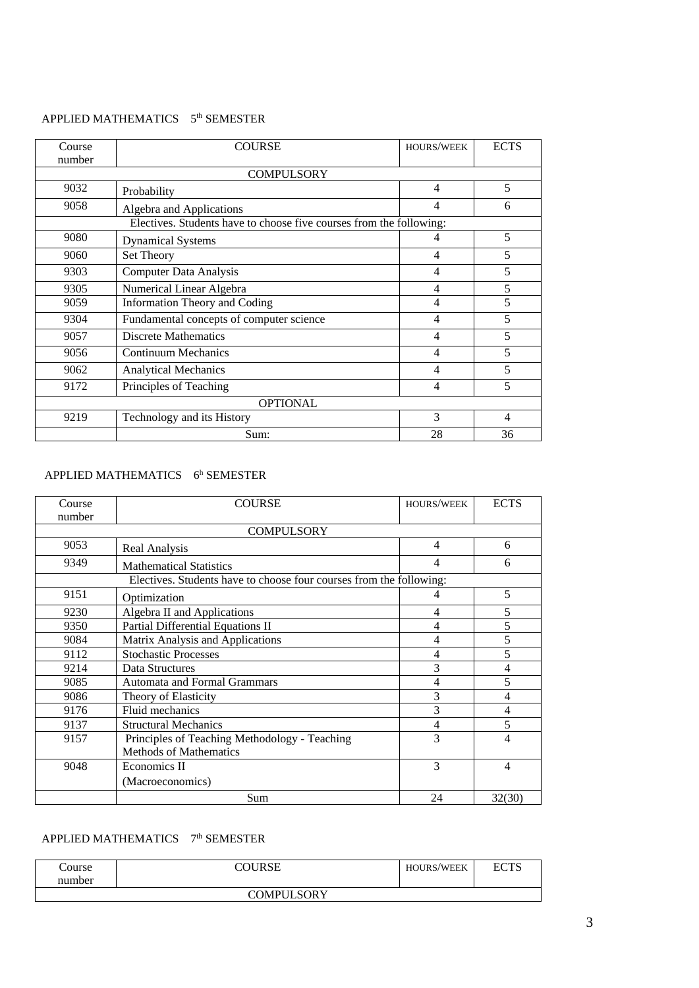# APPLIED MATHEMATICS 5<sup>th</sup> SEMESTER

| Course<br>number | COURSE                                                              | <b>HOURS/WEEK</b> | <b>ECTS</b> |
|------------------|---------------------------------------------------------------------|-------------------|-------------|
|                  | <b>COMPULSORY</b>                                                   |                   |             |
| 9032             | Probability                                                         | 4                 | 5           |
| 9058             | Algebra and Applications                                            | 4                 | 6           |
|                  | Electives. Students have to choose five courses from the following: |                   |             |
| 9080             | <b>Dynamical Systems</b>                                            | 4                 | 5           |
| 9060             | Set Theory                                                          | 4                 | 5           |
| 9303             | <b>Computer Data Analysis</b>                                       | 4                 | 5           |
| 9305             | Numerical Linear Algebra                                            | 4                 | 5           |
| 9059             | <b>Information Theory and Coding</b>                                | 4                 | 5           |
| 9304             | Fundamental concepts of computer science                            | 4                 | 5           |
| 9057             | <b>Discrete Mathematics</b>                                         | 4                 | 5           |
| 9056             | <b>Continuum Mechanics</b>                                          | $\overline{4}$    | 5           |
| 9062             | <b>Analytical Mechanics</b>                                         | 4                 | 5           |
| 9172             | Principles of Teaching                                              | 4                 | 5           |
| <b>OPTIONAL</b>  |                                                                     |                   |             |
| 9219             | Technology and its History                                          | 3                 | 4           |
|                  | Sum:                                                                | 28                | 36          |

#### APPLIED MATHEMATICS 6<sup>h</sup> SEMESTER

| Course | <b>COURSE</b>                                                       | <b>HOURS/WEEK</b> | <b>ECTS</b>    |
|--------|---------------------------------------------------------------------|-------------------|----------------|
| number |                                                                     |                   |                |
|        | <b>COMPULSORY</b>                                                   |                   |                |
| 9053   | Real Analysis                                                       | 4                 | 6              |
| 9349   | <b>Mathematical Statistics</b>                                      | 4                 | 6              |
|        | Electives. Students have to choose four courses from the following: |                   |                |
| 9151   | Optimization                                                        | 4                 | 5              |
| 9230   | Algebra II and Applications                                         | 4                 | 5              |
| 9350   | Partial Differential Equations II                                   | 4                 | 5              |
| 9084   | Matrix Analysis and Applications                                    | 4                 | 5              |
| 9112   | <b>Stochastic Processes</b>                                         | 4                 | 5              |
| 9214   | Data Structures                                                     | 3                 | $\overline{4}$ |
| 9085   | <b>Automata and Formal Grammars</b>                                 | 4                 | 5              |
| 9086   | Theory of Elasticity                                                | 3                 | 4              |
| 9176   | Fluid mechanics                                                     | 3                 | 4              |
| 9137   | <b>Structural Mechanics</b>                                         | 4                 | 5              |
| 9157   | Principles of Teaching Methodology - Teaching                       | 3                 | 4              |
|        | <b>Methods of Mathematics</b>                                       |                   |                |
| 9048   | Economics II                                                        | 3                 | 4              |
|        | (Macroeconomics)                                                    |                   |                |
|        | Sum                                                                 | 24                | 32(30)         |

# APPLIED MATHEMATICS 7<sup>th</sup> SEMESTER

| Course | COURSE     | <b>HOURS/WEEK</b> | ECTS |
|--------|------------|-------------------|------|
| number |            |                   |      |
|        | COMPULSORY |                   |      |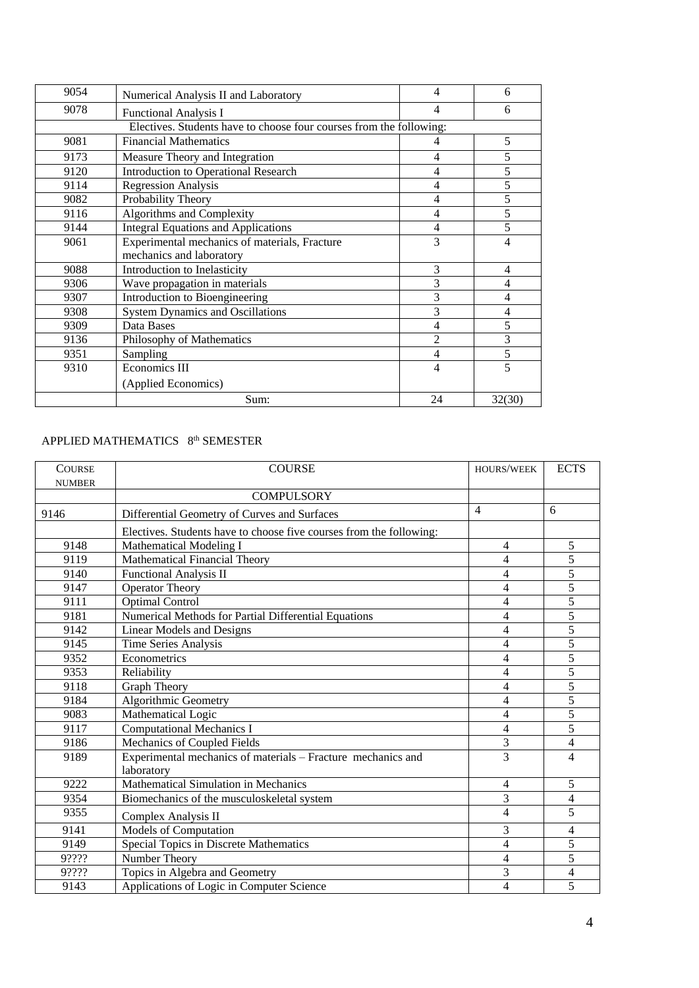| 9054 | Numerical Analysis II and Laboratory                                | 4              | 6      |
|------|---------------------------------------------------------------------|----------------|--------|
| 9078 | <b>Functional Analysis I</b>                                        | 4              | 6      |
|      | Electives. Students have to choose four courses from the following: |                |        |
| 9081 | <b>Financial Mathematics</b>                                        | 4              | 5      |
| 9173 | Measure Theory and Integration                                      | 4              | 5      |
| 9120 | <b>Introduction to Operational Research</b>                         | 4              | 5      |
| 9114 | <b>Regression Analysis</b>                                          | 4              | 5      |
| 9082 | Probability Theory                                                  | 4              | 5      |
| 9116 | Algorithms and Complexity                                           | 4              | 5      |
| 9144 | <b>Integral Equations and Applications</b>                          | 4              | 5      |
| 9061 | Experimental mechanics of materials, Fracture                       | 3              | 4      |
|      | mechanics and laboratory                                            |                |        |
| 9088 | Introduction to Inelasticity                                        | 3              | 4      |
| 9306 | Wave propagation in materials                                       | 3              | 4      |
| 9307 | Introduction to Bioengineering                                      | 3              | 4      |
| 9308 | <b>System Dynamics and Oscillations</b>                             | 3              | 4      |
| 9309 | Data Bases                                                          | 4              | 5      |
| 9136 | Philosophy of Mathematics                                           | $\overline{2}$ | 3      |
| 9351 | Sampling                                                            | 4              | 5      |
| 9310 | Economics III                                                       | 4              | 5      |
|      | (Applied Economics)                                                 |                |        |
|      | Sum:                                                                | 24             | 32(30) |

# APPLIED MATHEMATICS 8<sup>th</sup> SEMESTER

| <b>COURSE</b> | <b>COURSE</b>                                                              | <b>HOURS/WEEK</b>        | <b>ECTS</b>    |
|---------------|----------------------------------------------------------------------------|--------------------------|----------------|
| <b>NUMBER</b> | <b>COMPULSORY</b>                                                          |                          |                |
| 9146          | Differential Geometry of Curves and Surfaces                               | $\overline{4}$           | 6              |
|               | Electives. Students have to choose five courses from the following:        |                          |                |
| 9148          | <b>Mathematical Modeling I</b>                                             | $\overline{4}$           | 5              |
| 9119          | <b>Mathematical Financial Theory</b>                                       | 4                        | 5              |
| 9140          | <b>Functional Analysis II</b>                                              | 4                        | 5              |
| 9147          | <b>Operator Theory</b>                                                     | $\overline{4}$           | 5              |
| 9111          | <b>Optimal Control</b>                                                     | $\overline{\mathcal{L}}$ | 5              |
| 9181          | Numerical Methods for Partial Differential Equations                       | $\overline{4}$           | 5              |
| 9142          | <b>Linear Models and Designs</b>                                           | $\overline{\mathcal{L}}$ | 5              |
| 9145          | <b>Time Series Analysis</b>                                                | 4                        | 5              |
| 9352          | Econometrics                                                               | $\overline{4}$           | 5              |
| 9353          | Reliability                                                                | $\overline{\mathcal{L}}$ | $\overline{5}$ |
| 9118          | <b>Graph Theory</b>                                                        | $\overline{\mathbf{4}}$  | 5              |
| 9184          | <b>Algorithmic Geometry</b>                                                | $\overline{\mathcal{L}}$ | 5              |
| 9083          | Mathematical Logic                                                         | 4                        | 5              |
| 9117          | Computational Mechanics I                                                  | $\overline{4}$           | 5              |
| 9186          | Mechanics of Coupled Fields                                                | $\overline{3}$           | $\overline{4}$ |
| 9189          | Experimental mechanics of materials - Fracture mechanics and<br>laboratory | $\overline{3}$           | 4              |
| 9222          | Mathematical Simulation in Mechanics                                       | 4                        | 5              |
| 9354          | Biomechanics of the musculoskeletal system                                 | $\overline{3}$           | $\overline{4}$ |
| 9355          | Complex Analysis II                                                        | $\overline{4}$           | 5              |
| 9141          | Models of Computation                                                      | 3                        | $\overline{4}$ |
| 9149          | Special Topics in Discrete Mathematics                                     | $\overline{4}$           | 5              |
| 9????         | Number Theory                                                              | $\overline{\mathcal{L}}$ | 5              |
| 9????         | Topics in Algebra and Geometry                                             | 3                        | $\overline{4}$ |
| 9143          | Applications of Logic in Computer Science                                  | $\overline{4}$           | 5              |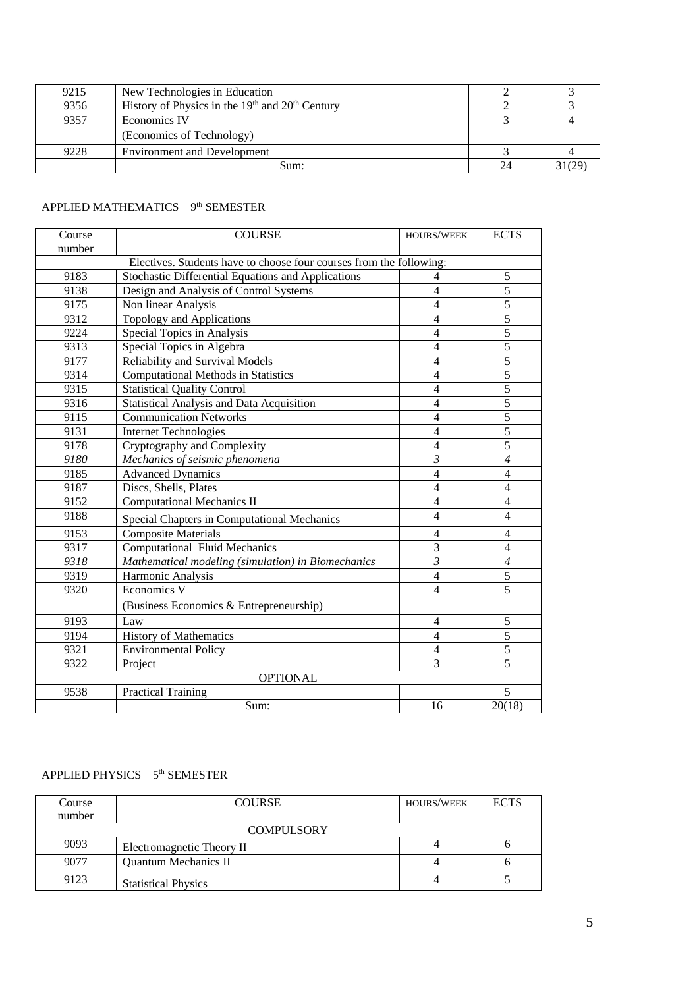| 9215 | New Technologies in Education                       |    |  |
|------|-----------------------------------------------------|----|--|
| 9356 | History of Physics in the $19th$ and $20th$ Century |    |  |
| 9357 | Economics IV                                        |    |  |
|      | (Economics of Technology)                           |    |  |
| 9228 | <b>Environment and Development</b>                  |    |  |
|      | Sum:                                                | 24 |  |

### APPLIED MATHEMATICS 9<sup>th</sup> SEMESTER

| Course | <b>COURSE</b>                                                       | HOURS/WEEK     | <b>ECTS</b>    |
|--------|---------------------------------------------------------------------|----------------|----------------|
| number |                                                                     |                |                |
|        | Electives. Students have to choose four courses from the following: |                |                |
| 9183   | Stochastic Differential Equations and Applications                  | 4              | 5              |
| 9138   | Design and Analysis of Control Systems                              | $\overline{4}$ | 5              |
| 9175   | Non linear Analysis                                                 | $\overline{4}$ | 5              |
| 9312   | <b>Topology and Applications</b>                                    | $\overline{4}$ | 5              |
| 9224   | Special Topics in Analysis                                          | $\overline{4}$ | $\overline{5}$ |
| 9313   | Special Topics in Algebra                                           | 4              | $\overline{5}$ |
| 9177   | Reliability and Survival Models                                     | $\overline{4}$ | $\overline{5}$ |
| 9314   | <b>Computational Methods in Statistics</b>                          | $\overline{4}$ | 5              |
| 9315   | <b>Statistical Quality Control</b>                                  | $\overline{4}$ | 5              |
| 9316   | <b>Statistical Analysis and Data Acquisition</b>                    | $\overline{4}$ | 5              |
| 9115   | <b>Communication Networks</b>                                       | 4              | 5              |
| 9131   | <b>Internet Technologies</b>                                        | 4              | $\overline{5}$ |
| 9178   | Cryptography and Complexity                                         | $\overline{4}$ | $\overline{5}$ |
| 9180   | Mechanics of seismic phenomena                                      | $\mathfrak{Z}$ | $\overline{4}$ |
| 9185   | <b>Advanced Dynamics</b>                                            | $\overline{4}$ | $\overline{4}$ |
| 9187   | Discs, Shells, Plates                                               | $\overline{4}$ | $\overline{4}$ |
| 9152   | <b>Computational Mechanics II</b>                                   | $\overline{4}$ | $\overline{4}$ |
| 9188   | Special Chapters in Computational Mechanics                         | $\overline{4}$ | $\overline{4}$ |
| 9153   | <b>Composite Materials</b>                                          | $\overline{4}$ | $\overline{4}$ |
| 9317   | <b>Computational Fluid Mechanics</b>                                | 3              | $\overline{4}$ |
| 9318   | Mathematical modeling (simulation) in Biomechanics                  | $\mathfrak{Z}$ | $\overline{4}$ |
| 9319   | Harmonic Analysis                                                   | $\overline{4}$ | $\overline{5}$ |
| 9320   | Economics V                                                         | $\overline{4}$ | 5              |
|        | (Business Economics & Entrepreneurship)                             |                |                |
| 9193   | Law                                                                 | 4              | 5              |
| 9194   | <b>History of Mathematics</b>                                       | $\overline{4}$ | 5              |
| 9321   | <b>Environmental Policy</b>                                         | $\overline{4}$ | 5              |
| 9322   | Project                                                             | 3              | $\overline{5}$ |
|        | <b>OPTIONAL</b>                                                     |                |                |
| 9538   | <b>Practical Training</b>                                           |                | 5              |
|        | Sum:                                                                | 16             | 20(18)         |

#### APPLIED PHYSICS 5<sup>th</sup> SEMESTER

| Course | <b>COURSE</b>               | <b>HOURS/WEEK</b> | <b>ECTS</b> |
|--------|-----------------------------|-------------------|-------------|
| number |                             |                   |             |
|        | <b>COMPULSORY</b>           |                   |             |
| 9093   | Electromagnetic Theory II   |                   |             |
| 9077   | <b>Quantum Mechanics II</b> |                   | n           |
| 9123   | <b>Statistical Physics</b>  |                   |             |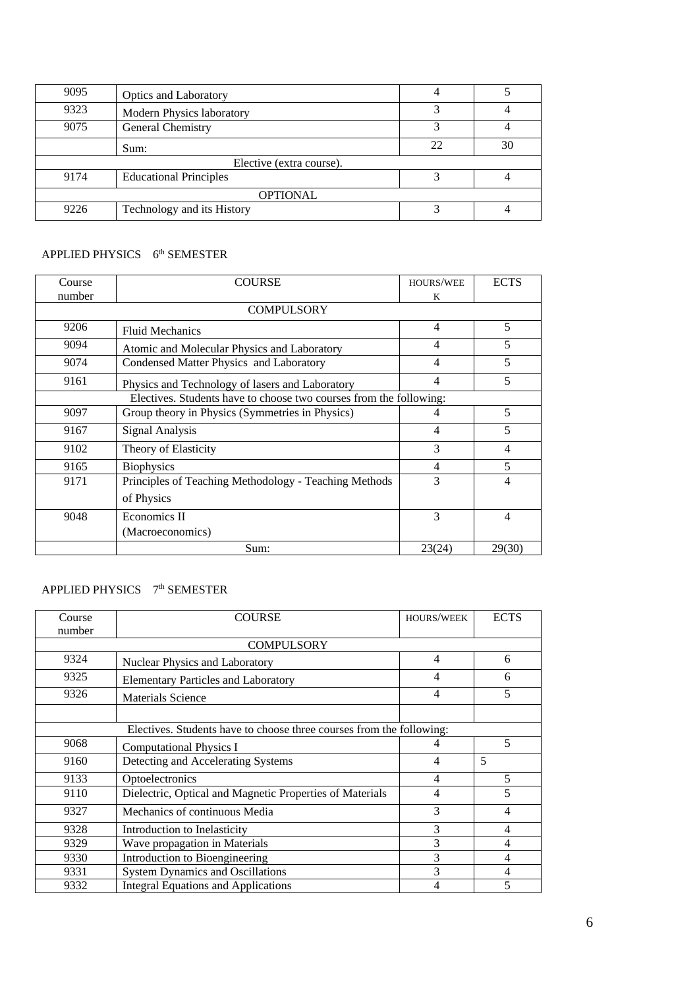| 9095                     | <b>Optics and Laboratory</b>  |    |    |
|--------------------------|-------------------------------|----|----|
| 9323                     | Modern Physics laboratory     |    |    |
| 9075                     | General Chemistry             |    |    |
|                          | Sum:                          | 22 | 30 |
| Elective (extra course). |                               |    |    |
| 9174                     | <b>Educational Principles</b> |    |    |
| <b>OPTIONAL</b>          |                               |    |    |
| 9226                     | Technology and its History    |    |    |

#### APPLIED PHYSICS 6<sup>th</sup> SEMESTER

| Course                                                             | COURSE                                                | <b>HOURS/WEE</b> | <b>ECTS</b>    |
|--------------------------------------------------------------------|-------------------------------------------------------|------------------|----------------|
| number                                                             |                                                       | K                |                |
|                                                                    | <b>COMPULSORY</b>                                     |                  |                |
| 9206                                                               | <b>Fluid Mechanics</b>                                | $\overline{4}$   | 5              |
| 9094                                                               | Atomic and Molecular Physics and Laboratory           | $\overline{4}$   | 5              |
| 9074                                                               | Condensed Matter Physics and Laboratory               | $\overline{4}$   | 5              |
| 9161                                                               | Physics and Technology of lasers and Laboratory       | $\overline{4}$   | 5              |
| Electives. Students have to choose two courses from the following: |                                                       |                  |                |
| 9097                                                               | Group theory in Physics (Symmetries in Physics)       | $\overline{4}$   | 5              |
| 9167                                                               | Signal Analysis                                       | $\overline{4}$   | 5              |
| 9102                                                               | Theory of Elasticity                                  | 3                | 4              |
| 9165                                                               | <b>Biophysics</b>                                     | $\overline{4}$   | 5              |
| 9171                                                               | Principles of Teaching Methodology - Teaching Methods | 3                | 4              |
|                                                                    | of Physics                                            |                  |                |
| 9048                                                               | Economics II                                          | 3                | $\overline{4}$ |
|                                                                    | (Macroeconomics)                                      |                  |                |
|                                                                    | Sum:                                                  | 23(24)           | 29(30)         |

# APPLIED PHYSICS 7<sup>th</sup> SEMESTER

| Course | <b>COURSE</b>                                                        | <b>HOURS/WEEK</b> | <b>ECTS</b> |
|--------|----------------------------------------------------------------------|-------------------|-------------|
| number |                                                                      |                   |             |
|        | <b>COMPULSORY</b>                                                    |                   |             |
| 9324   | Nuclear Physics and Laboratory                                       | 4                 | 6           |
| 9325   | <b>Elementary Particles and Laboratory</b>                           | 4                 | 6           |
| 9326   | <b>Materials Science</b>                                             |                   | 5           |
|        |                                                                      |                   |             |
|        | Electives. Students have to choose three courses from the following: |                   |             |
| 9068   | <b>Computational Physics I</b>                                       | 4                 | 5           |
| 9160   | Detecting and Accelerating Systems                                   | $\overline{4}$    | 5           |
| 9133   | Optoelectronics                                                      | 4                 | 5           |
| 9110   | Dielectric, Optical and Magnetic Properties of Materials             | 4                 | 5           |
| 9327   | Mechanics of continuous Media                                        | 3                 | 4           |
| 9328   | Introduction to Inelasticity                                         | 3                 | 4           |
| 9329   | Wave propagation in Materials                                        | 3                 | 4           |
| 9330   | Introduction to Bioengineering                                       | 3                 | 4           |
| 9331   | <b>System Dynamics and Oscillations</b>                              | 3                 | 4           |
| 9332   | <b>Integral Equations and Applications</b>                           | 4                 | 5           |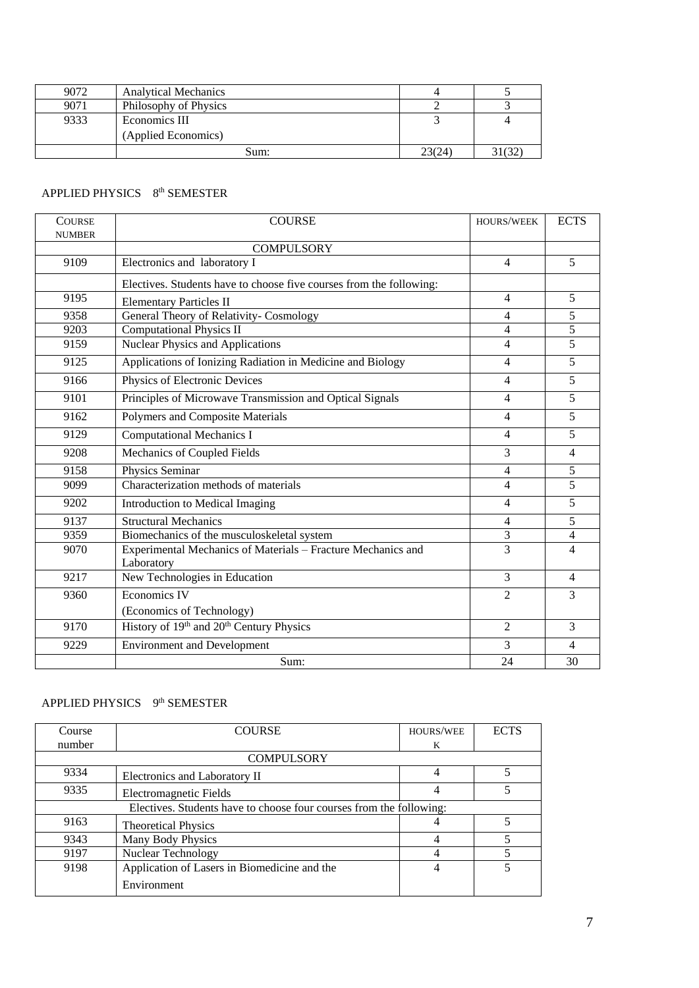| 9072 | <b>Analytical Mechanics</b> |        |       |
|------|-----------------------------|--------|-------|
| 9071 | Philosophy of Physics       |        |       |
| 9333 | Economics III               |        |       |
|      | (Applied Economics)         |        |       |
|      | Sum:                        | 23(24) | 31(32 |

#### APPLIED PHYSICS 8<sup>th</sup> SEMESTER

| <b>COURSE</b><br><b>NUMBER</b> | <b>COURSE</b>                                                       | HOURS/WEEK     | <b>ECTS</b>    |
|--------------------------------|---------------------------------------------------------------------|----------------|----------------|
|                                | <b>COMPULSORY</b>                                                   |                |                |
| 9109                           | Electronics and laboratory I                                        | 4              | 5              |
|                                | Electives. Students have to choose five courses from the following: |                |                |
| 9195                           | <b>Elementary Particles II</b>                                      | 4              | 5              |
| 9358                           | General Theory of Relativity- Cosmology                             | 4              | 5              |
| 9203                           | <b>Computational Physics II</b>                                     | 4              | 5              |
| 9159                           | <b>Nuclear Physics and Applications</b>                             | 4              | 5              |
| 9125                           | Applications of Ionizing Radiation in Medicine and Biology          | 4              | 5              |
| 9166                           | Physics of Electronic Devices                                       | 4              | 5              |
| 9101                           | Principles of Microwave Transmission and Optical Signals            | 4              | 5              |
| 9162                           | Polymers and Composite Materials                                    | 4              | 5              |
| 9129                           | <b>Computational Mechanics I</b>                                    | 4              | 5              |
| 9208                           | Mechanics of Coupled Fields                                         | 3              | $\overline{4}$ |
| 9158                           | Physics Seminar                                                     | 4              | 5              |
| 9099                           | Characterization methods of materials                               | 4              | 5              |
| 9202                           | Introduction to Medical Imaging                                     | 4              | 5              |
| 9137                           | <b>Structural Mechanics</b>                                         | 4              | 5              |
| 9359                           | Biomechanics of the musculoskeletal system                          | 3              | $\overline{4}$ |
| 9070                           | Experimental Mechanics of Materials - Fracture Mechanics and        |                | 4              |
|                                | Laboratory                                                          |                |                |
| 9217                           | New Technologies in Education                                       | 3              | $\overline{4}$ |
| 9360                           | Economics IV                                                        | $\overline{2}$ | 3              |
|                                | (Economics of Technology)                                           |                |                |
| 9170                           | History of 19 <sup>th</sup> and 20 <sup>th</sup> Century Physics    | $\overline{2}$ | 3              |
| 9229                           | <b>Environment and Development</b>                                  | 3              | $\overline{4}$ |
|                                | Sum:                                                                | 24             | 30             |

# APPLIED PHYSICS 9<sup>th</sup> SEMESTER

| Course                                                              | <b>COURSE</b>                                | HOURS/WEE | <b>ECTS</b> |
|---------------------------------------------------------------------|----------------------------------------------|-----------|-------------|
| number                                                              |                                              | K         |             |
|                                                                     | <b>COMPULSORY</b>                            |           |             |
| 9334                                                                | Electronics and Laboratory II                | 4         |             |
| 9335                                                                | Electromagnetic Fields                       | 4         |             |
| Electives. Students have to choose four courses from the following: |                                              |           |             |
| 9163                                                                | <b>Theoretical Physics</b>                   |           |             |
| 9343                                                                | Many Body Physics                            |           |             |
| 9197                                                                | <b>Nuclear Technology</b>                    |           |             |
| 9198                                                                | Application of Lasers in Biomedicine and the | 4         |             |
|                                                                     | Environment                                  |           |             |